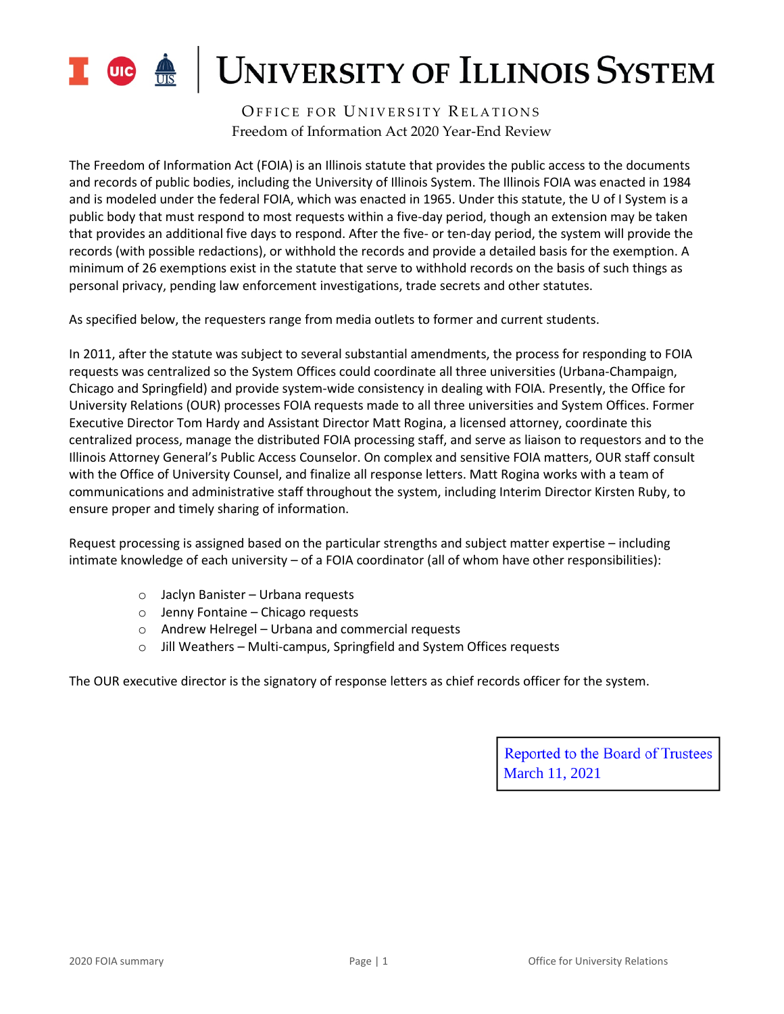

OFFICE FOR UNIVERSITY RELATIONS Freedom of Information Act 2020 Year-End Review

The Freedom of Information Act (FOIA) is an Illinois statute that provides the public access to the documents and records of public bodies, including the University of Illinois System. The Illinois FOIA was enacted in 1984 and is modeled under the federal FOIA, which was enacted in 1965. Under this statute, the U of I System is a public body that must respond to most requests within a five-day period, though an extension may be taken that provides an additional five days to respond. After the five- or ten-day period, the system will provide the records (with possible redactions), or withhold the records and provide a detailed basis for the exemption. A minimum of 26 exemptions exist in the statute that serve to withhold records on the basis of such things as personal privacy, pending law enforcement investigations, trade secrets and other statutes.

As specified below, the requesters range from media outlets to former and current students.

In 2011, after the statute was subject to several substantial amendments, the process for responding to FOIA requests was centralized so the System Offices could coordinate all three universities (Urbana-Champaign, Chicago and Springfield) and provide system-wide consistency in dealing with FOIA. Presently, the Office for University Relations (OUR) processes FOIA requests made to all three universities and System Offices. Former Executive Director Tom Hardy and Assistant Director Matt Rogina, a licensed attorney, coordinate this centralized process, manage the distributed FOIA processing staff, and serve as liaison to requestors and to the Illinois Attorney General's Public Access Counselor. On complex and sensitive FOIA matters, OUR staff consult with the Office of University Counsel, and finalize all response letters. Matt Rogina works with a team of communications and administrative staff throughout the system, including Interim Director Kirsten Ruby, to ensure proper and timely sharing of information.

Request processing is assigned based on the particular strengths and subject matter expertise – including intimate knowledge of each university – of a FOIA coordinator (all of whom have other responsibilities):

- o Jaclyn Banister Urbana requests
- o Jenny Fontaine Chicago requests
- o Andrew Helregel Urbana and commercial requests
- o Jill Weathers Multi-campus, Springfield and System Offices requests

The OUR executive director is the signatory of response letters as chief records officer for the system.

Reported to the Board of Trustees March 11, 2021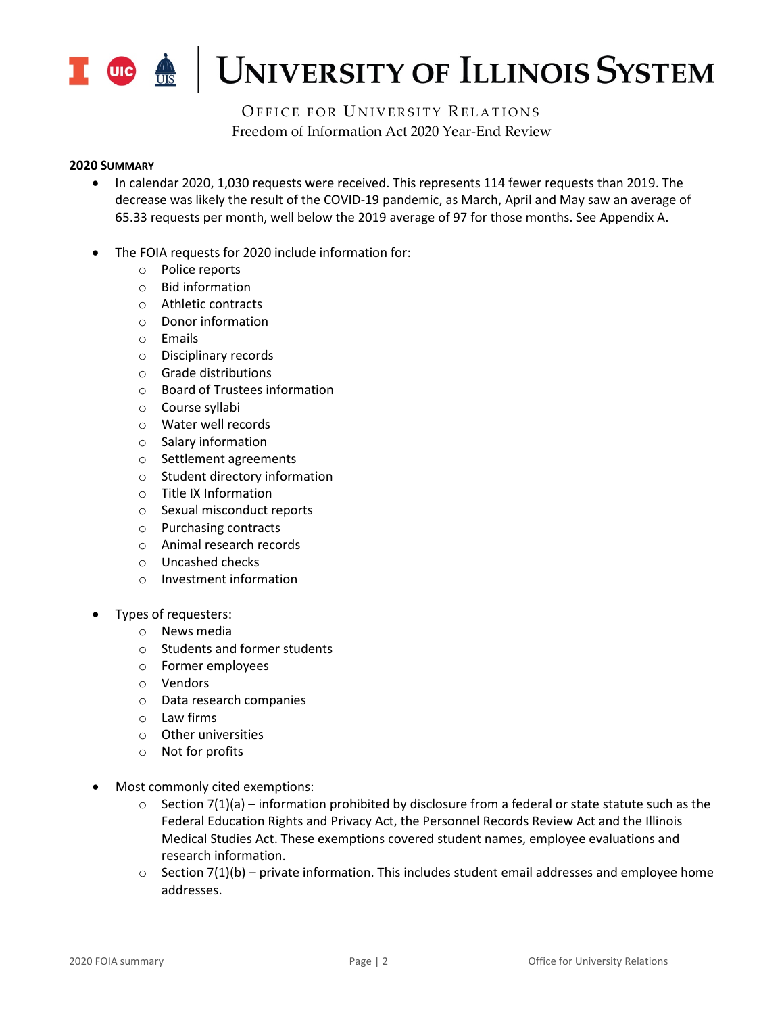

OFFICE FOR UNIVERSITY RELATIONS Freedom of Information Act 2020 Year-End Review

#### **2020 SUMMARY**

- In calendar 2020, 1,030 requests were received. This represents 114 fewer requests than 2019. The decrease was likely the result of the COVID-19 pandemic, as March, April and May saw an average of 65.33 requests per month, well below the 2019 average of 97 for those months. See Appendix A.
- The FOIA requests for 2020 include information for:
	- o Police reports
	- o Bid information
	- o Athletic contracts
	- o Donor information
	- o Emails
	- o Disciplinary records
	- o Grade distributions
	- o Board of Trustees information
	- o Course syllabi
	- o Water well records
	- o Salary information
	- o Settlement agreements
	- o Student directory information
	- o Title IX Information
	- o Sexual misconduct reports
	- o Purchasing contracts
	- o Animal research records
	- o Uncashed checks
	- o Investment information
- Types of requesters:
	- o News media
	- o Students and former students
	- o Former employees
	- o Vendors
	- o Data research companies
	- o Law firms
	- o Other universities
	- o Not for profits
- Most commonly cited exemptions:
	- $\circ$  Section 7(1)(a) information prohibited by disclosure from a federal or state statute such as the Federal Education Rights and Privacy Act, the Personnel Records Review Act and the Illinois Medical Studies Act. These exemptions covered student names, employee evaluations and research information.
	- $\circ$  Section 7(1)(b) private information. This includes student email addresses and employee home addresses.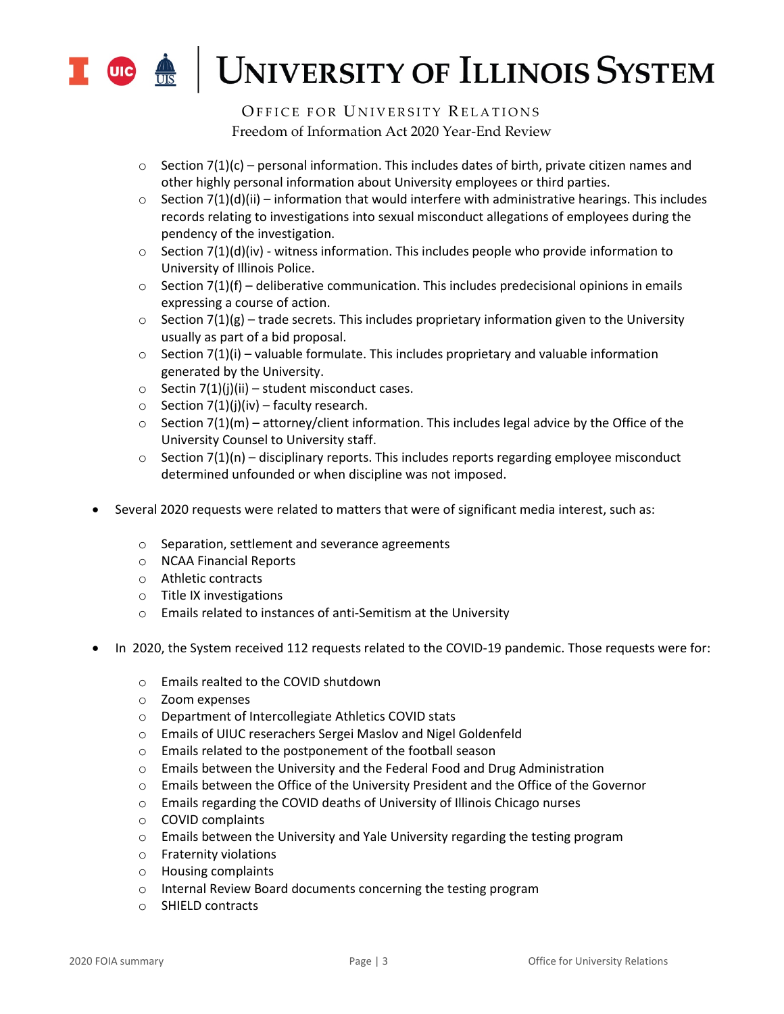

OFFICE FOR UNIVERSITY RELATIONS Freedom of Information Act 2020 Year-End Review

- $\circ$  Section 7(1)(c) personal information. This includes dates of birth, private citizen names and other highly personal information about University employees or third parties.
- $\circ$  Section 7(1)(d)(ii) information that would interfere with administrative hearings. This includes records relating to investigations into sexual misconduct allegations of employees during the pendency of the investigation.
- $\circ$  Section 7(1)(d)(iv) witness information. This includes people who provide information to University of Illinois Police.
- $\circ$  Section 7(1)(f) deliberative communication. This includes predecisional opinions in emails expressing a course of action.
- $\circ$  Section 7(1)(g) trade secrets. This includes proprietary information given to the University usually as part of a bid proposal.
- $\circ$  Section 7(1)(i) valuable formulate. This includes proprietary and valuable information generated by the University.
- $\circ$  Sectin 7(1)(i)(ii) student misconduct cases.
- $\circ$  Section 7(1)(j)(iv) faculty research.
- $\circ$  Section 7(1)(m) attorney/client information. This includes legal advice by the Office of the University Counsel to University staff.
- $\circ$  Section 7(1)(n) disciplinary reports. This includes reports regarding employee misconduct determined unfounded or when discipline was not imposed.
- Several 2020 requests were related to matters that were of significant media interest, such as:
	- o Separation, settlement and severance agreements
	- o NCAA Financial Reports
	- o Athletic contracts
	- o Title IX investigations
	- o Emails related to instances of anti-Semitism at the University
- In 2020, the System received 112 requests related to the COVID-19 pandemic. Those requests were for:
	- o Emails realted to the COVID shutdown
	- o Zoom expenses
	- o Department of Intercollegiate Athletics COVID stats
	- o Emails of UIUC reserachers Sergei Maslov and Nigel Goldenfeld
	- o Emails related to the postponement of the football season
	- o Emails between the University and the Federal Food and Drug Administration
	- o Emails between the Office of the University President and the Office of the Governor
	- o Emails regarding the COVID deaths of University of Illinois Chicago nurses
	- o COVID complaints
	- $\circ$  Emails between the University and Yale University regarding the testing program
	- o Fraternity violations
	- o Housing complaints
	- o Internal Review Board documents concerning the testing program
	- o SHIELD contracts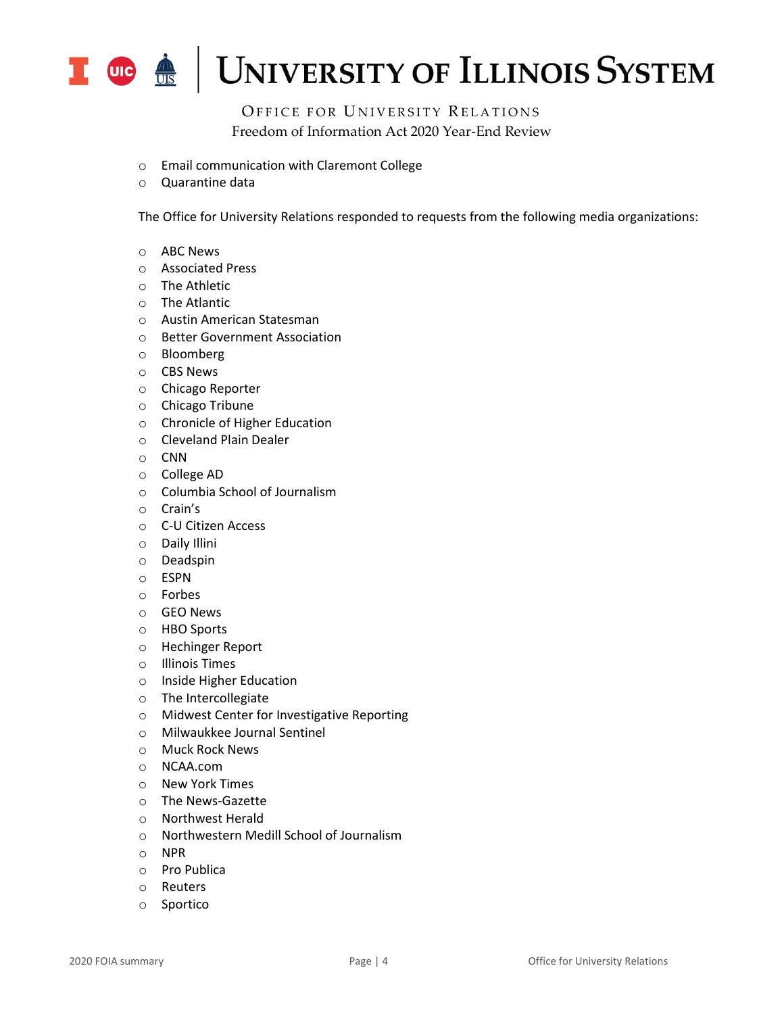

OFFICE FOR UNIVERSITY RELATIONS Freedom of Information Act 2020 Year-End Review

- o Email communication with Claremont College
- o Quarantine data

The Office for University Relations responded to requests from the following media organizations:

- o ABC News
- o Associated Press
- o The Athletic
- o The Atlantic
- o Austin American Statesman
- o Better Government Association
- o Bloomberg
- o CBS News
- o Chicago Reporter
- o Chicago Tribune
- o Chronicle of Higher Education
- o Cleveland Plain Dealer
- o CNN
- o College AD
- o Columbia School of Journalism
- o Crain's
- o C-U Citizen Access
- o Daily Illini
- o Deadspin
- o ESPN
- o Forbes
- o GEO News
- o HBO Sports
- o Hechinger Report
- o Illinois Times
- o Inside Higher Education
- o The Intercollegiate
- o Midwest Center for Investigative Reporting
- o Milwaukkee Journal Sentinel
- o Muck Rock News
- o NCAA.com
- o New York Times
- o The News-Gazette
- o Northwest Herald
- o Northwestern Medill School of Journalism
- o NPR
- o Pro Publica
- o Reuters
- o Sportico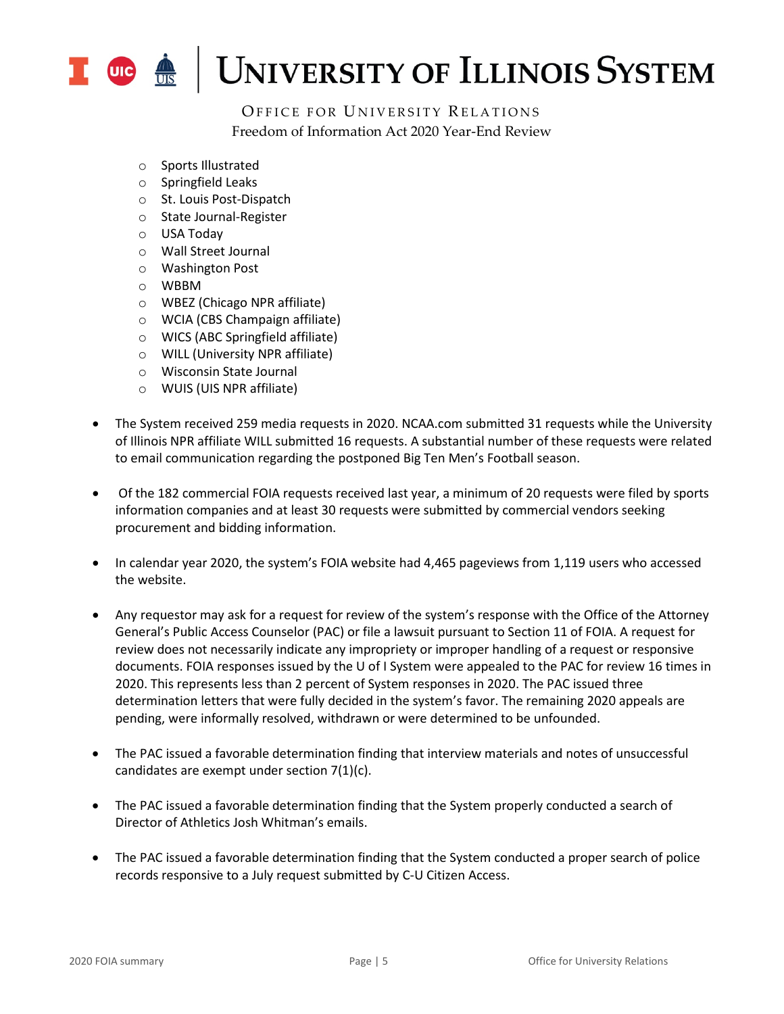

OFFICE FOR UNIVERSITY RELATIONS Freedom of Information Act 2020 Year-End Review

- o Sports Illustrated
- o Springfield Leaks
- o St. Louis Post-Dispatch
- o State Journal-Register
- o USA Today
- o Wall Street Journal
- o Washington Post
- o WBBM
- o WBEZ (Chicago NPR affiliate)
- o WCIA (CBS Champaign affiliate)
- o WICS (ABC Springfield affiliate)
- o WILL (University NPR affiliate)
- o Wisconsin State Journal
- o WUIS (UIS NPR affiliate)
- The System received 259 media requests in 2020. NCAA.com submitted 31 requests while the University of Illinois NPR affiliate WILL submitted 16 requests. A substantial number of these requests were related to email communication regarding the postponed Big Ten Men's Football season.
- Of the 182 commercial FOIA requests received last year, a minimum of 20 requests were filed by sports information companies and at least 30 requests were submitted by commercial vendors seeking procurement and bidding information.
- In calendar year 2020, the system's FOIA website had 4,465 pageviews from 1,119 users who accessed the website.
- Any requestor may ask for a request for review of the system's response with the Office of the Attorney General's Public Access Counselor (PAC) or file a lawsuit pursuant to Section 11 of FOIA. A request for review does not necessarily indicate any impropriety or improper handling of a request or responsive documents. FOIA responses issued by the U of I System were appealed to the PAC for review 16 times in 2020. This represents less than 2 percent of System responses in 2020. The PAC issued three determination letters that were fully decided in the system's favor. The remaining 2020 appeals are pending, were informally resolved, withdrawn or were determined to be unfounded.
- The PAC issued a favorable determination finding that interview materials and notes of unsuccessful candidates are exempt under section 7(1)(c).
- The PAC issued a favorable determination finding that the System properly conducted a search of Director of Athletics Josh Whitman's emails.
- The PAC issued a favorable determination finding that the System conducted a proper search of police records responsive to a July request submitted by C-U Citizen Access.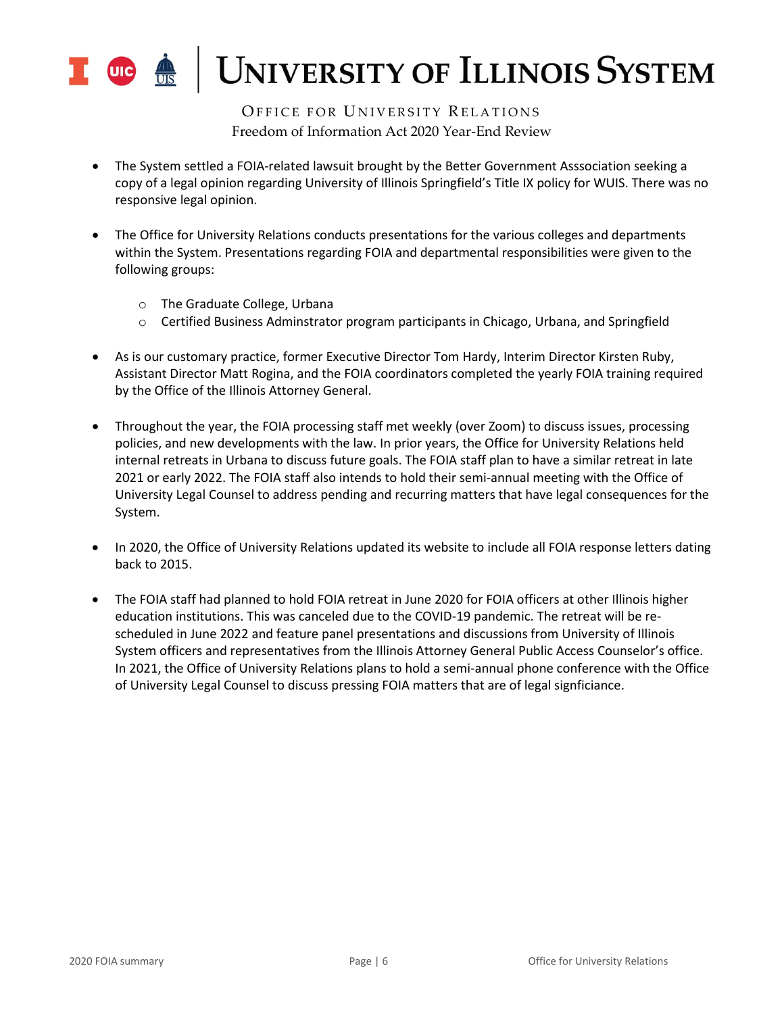

OFFICE FOR UNIVERSITY RELATIONS Freedom of Information Act 2020 Year-End Review

- The System settled a FOIA-related lawsuit brought by the Better Government Asssociation seeking a copy of a legal opinion regarding University of Illinois Springfield's Title IX policy for WUIS. There was no responsive legal opinion.
- The Office for University Relations conducts presentations for the various colleges and departments within the System. Presentations regarding FOIA and departmental responsibilities were given to the following groups:
	- o The Graduate College, Urbana
	- o Certified Business Adminstrator program participants in Chicago, Urbana, and Springfield
- As is our customary practice, former Executive Director Tom Hardy, Interim Director Kirsten Ruby, Assistant Director Matt Rogina, and the FOIA coordinators completed the yearly FOIA training required by the Office of the Illinois Attorney General.
- Throughout the year, the FOIA processing staff met weekly (over Zoom) to discuss issues, processing policies, and new developments with the law. In prior years, the Office for University Relations held internal retreats in Urbana to discuss future goals. The FOIA staff plan to have a similar retreat in late 2021 or early 2022. The FOIA staff also intends to hold their semi-annual meeting with the Office of University Legal Counsel to address pending and recurring matters that have legal consequences for the System.
- In 2020, the Office of University Relations updated its website to include all FOIA response letters dating back to 2015.
- The FOIA staff had planned to hold FOIA retreat in June 2020 for FOIA officers at other Illinois higher education institutions. This was canceled due to the COVID-19 pandemic. The retreat will be rescheduled in June 2022 and feature panel presentations and discussions from University of Illinois System officers and representatives from the Illinois Attorney General Public Access Counselor's office. In 2021, the Office of University Relations plans to hold a semi-annual phone conference with the Office of University Legal Counsel to discuss pressing FOIA matters that are of legal signficiance.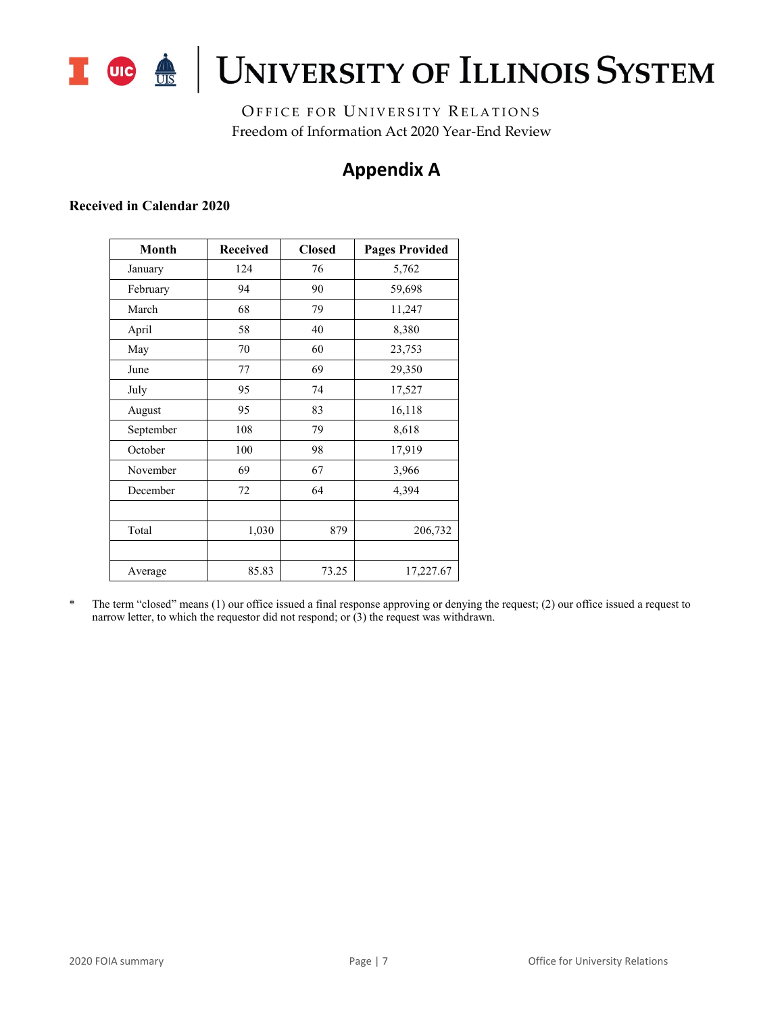

## I OG A UNIVERSITY OF ILLINOIS SYSTEM

OFFICE FOR UNIVERSITY RELATIONS Freedom of Information Act 2020 Year-End Review

## **Appendix A**

### **Received in Calendar 2020**

| <b>Month</b> | <b>Received</b><br><b>Closed</b> |       | <b>Pages Provided</b> |
|--------------|----------------------------------|-------|-----------------------|
| January      | 124                              | 76    | 5,762                 |
| February     | 94                               | 90    | 59,698                |
| March        | 68                               | 79    | 11,247                |
| April        | 58                               | 40    | 8,380                 |
| May          | 70                               | 60    | 23,753                |
| June         | 77                               | 69    | 29,350                |
| July         | 95                               | 74    | 17,527                |
| August       | 95                               | 83    | 16,118                |
| September    | 108                              | 79    | 8,618                 |
| October      | 100                              | 98    | 17,919                |
| November     | 69                               | 67    | 3,966                 |
| December     | 72                               | 64    | 4,394                 |
|              |                                  |       |                       |
| Total        | 1,030                            | 879   | 206,732               |
|              |                                  |       |                       |
| Average      | 85.83                            | 73.25 | 17,227.67             |

\* The term "closed" means (1) our office issued a final response approving or denying the request; (2) our office issued a request to narrow letter, to which the requestor did not respond; or  $(3)$  the request was withdrawn.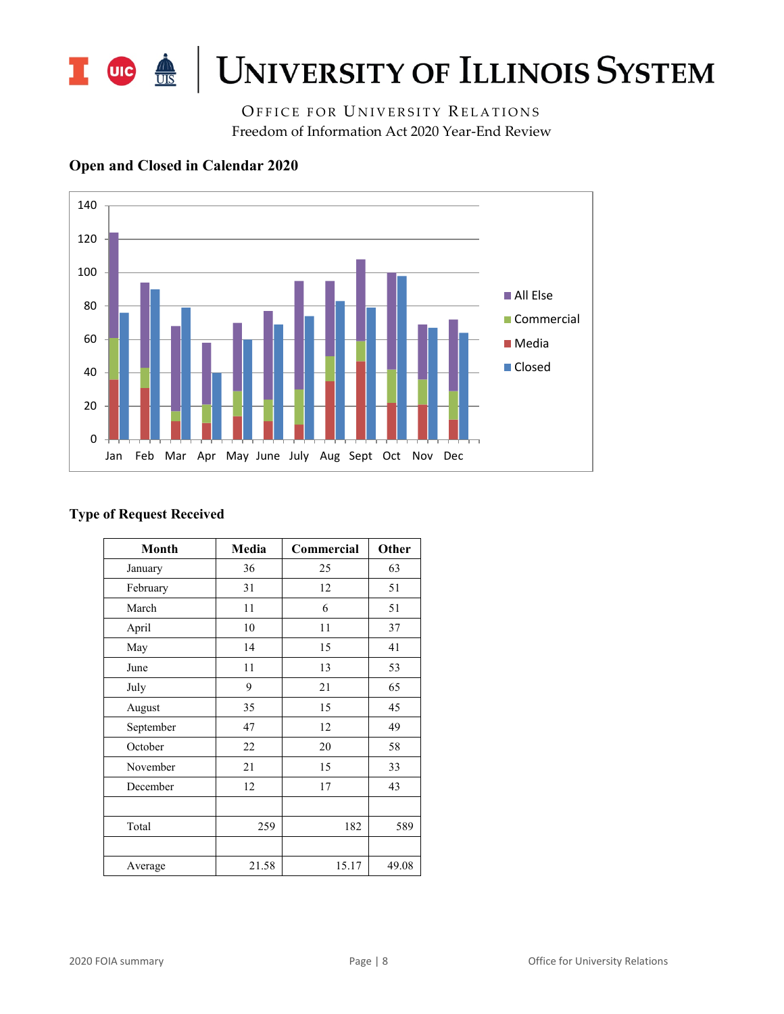

OFFICE FOR UNIVERSITY RELATIONS Freedom of Information Act 2020 Year-End Review



## **Open and Closed in Calendar 2020**

### **Type of Request Received**

| <b>Month</b> | Media | Commercial | Other |
|--------------|-------|------------|-------|
| January      | 36    | 25         | 63    |
| February     | 31    | 12         | 51    |
| March        | 11    | 6          | 51    |
| April        | 10    | 11         | 37    |
| May          | 14    | 15         | 41    |
| June         | 11    | 13         | 53    |
| July         | 9     | 21         | 65    |
| August       | 35    | 15         | 45    |
| September    | 47    | 12         | 49    |
| October      | 22    | 20         | 58    |
| November     | 21    | 15         | 33    |
| December     | 12    | 17         | 43    |
|              |       |            |       |
| Total        | 259   | 182        | 589   |
|              |       |            |       |
| Average      | 21.58 | 15.17      | 49.08 |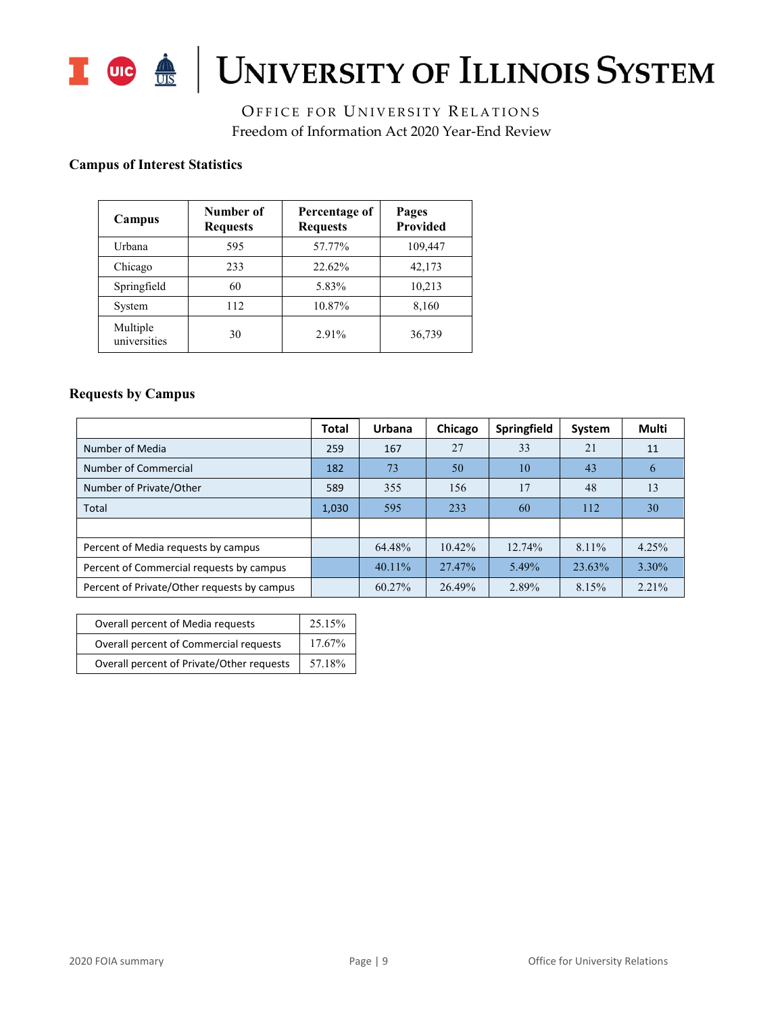

# I OG <u>A</u> UNIVERSITY OF ILLINOIS SYSTEM

OFFICE FOR UNIVERSITY RELATIONS Freedom of Information Act 2020 Year-End Review

## **Campus of Interest Statistics**

| Campus                   | Number of<br><b>Requests</b> | Percentage of<br><b>Requests</b> | Pages<br>Provided |
|--------------------------|------------------------------|----------------------------------|-------------------|
| Urbana                   | 595                          | 57.77%                           | 109,447           |
| Chicago                  | 233                          | 22.62%                           | 42,173            |
| Springfield              | 60                           | 5.83%                            | 10,213            |
| System                   | 112                          | 10.87%                           | 8,160             |
| Multiple<br>universities | 30                           | $2.91\%$                         | 36,739            |

#### **Requests by Campus**

|                                             | <b>Total</b> | Urbana    | Chicago   | Springfield | System | Multi         |
|---------------------------------------------|--------------|-----------|-----------|-------------|--------|---------------|
| Number of Media                             | 259          | 167       | 27        | 33          | 21     | 11            |
| Number of Commercial                        | 182          | 73        | 50        | 10          | 43     | $\mathfrak b$ |
| Number of Private/Other                     | 589          | 355       | 156       | 17          | 48     | 13            |
| Total                                       | 1,030        | 595       | 233       | 60          | 112    | 30            |
|                                             |              |           |           |             |        |               |
| Percent of Media requests by campus         |              | 64.48%    | $10.42\%$ | 12.74%      | 8.11%  | 4.25%         |
| Percent of Commercial requests by campus    |              | $40.11\%$ | 27.47%    | 5.49%       | 23.63% | 3.30%         |
| Percent of Private/Other requests by campus |              | 60.27%    | 26.49%    | 2.89%       | 8.15%  | $2.21\%$      |

| Overall percent of Media requests         | 25.15% |
|-------------------------------------------|--------|
| Overall percent of Commercial requests    | 17.67% |
| Overall percent of Private/Other requests | 57.18% |